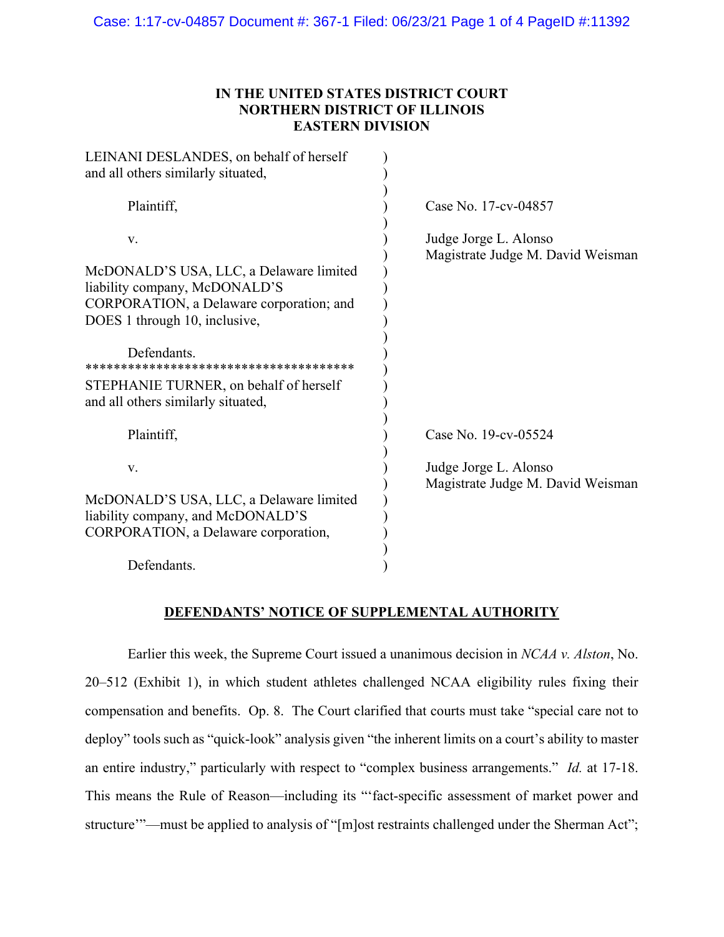## **IN THE UNITED STATES DISTRICT COURT NORTHERN DISTRICT OF ILLINOIS EASTERN DIVISION**

| LEINANI DESLANDES, on behalf of herself<br>and all others similarly situated, |                                                            |
|-------------------------------------------------------------------------------|------------------------------------------------------------|
| Plaintiff,                                                                    | Case No. 17-cv-04857                                       |
| V.                                                                            | Judge Jorge L. Alonso<br>Magistrate Judge M. David Weisman |
| McDONALD'S USA, LLC, a Delaware limited<br>liability company, McDONALD'S      |                                                            |
| CORPORATION, a Delaware corporation; and                                      |                                                            |
| DOES 1 through 10, inclusive,                                                 |                                                            |
| Defendants.                                                                   |                                                            |
| STEPHANIE TURNER, on behalf of herself<br>and all others similarly situated,  |                                                            |
| Plaintiff,                                                                    | Case No. 19-cv-05524                                       |
| V.                                                                            | Judge Jorge L. Alonso<br>Magistrate Judge M. David Weisman |
| McDONALD'S USA, LLC, a Delaware limited                                       |                                                            |
| liability company, and McDONALD'S                                             |                                                            |
| CORPORATION, a Delaware corporation,                                          |                                                            |
| Defendants.                                                                   |                                                            |

## **DEFENDANTS' NOTICE OF SUPPLEMENTAL AUTHORITY**

 Earlier this week, the Supreme Court issued a unanimous decision in *NCAA v. Alston*, No. 20–512 (Exhibit 1), in which student athletes challenged NCAA eligibility rules fixing their compensation and benefits. Op. 8. The Court clarified that courts must take "special care not to deploy" tools such as "quick-look" analysis given "the inherent limits on a court's ability to master an entire industry," particularly with respect to "complex business arrangements." *Id.* at 17-18. This means the Rule of Reason—including its "'fact-specific assessment of market power and structure'"—must be applied to analysis of "[m]ost restraints challenged under the Sherman Act";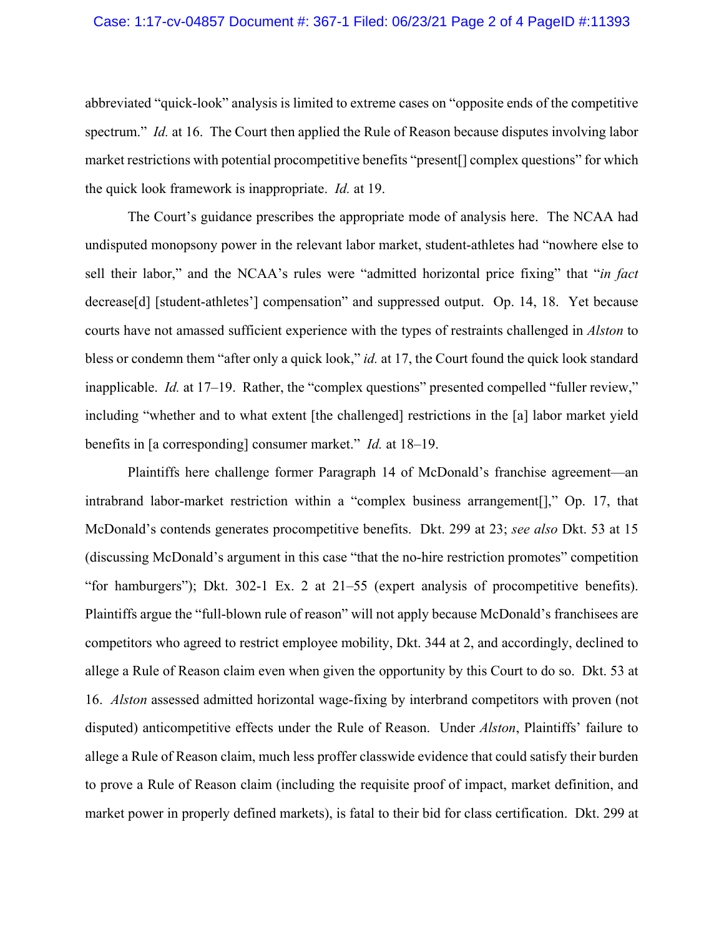#### Case: 1:17-cv-04857 Document #: 367-1 Filed: 06/23/21 Page 2 of 4 PageID #:11393

abbreviated "quick-look" analysis is limited to extreme cases on "opposite ends of the competitive spectrum." *Id.* at 16. The Court then applied the Rule of Reason because disputes involving labor market restrictions with potential procompetitive benefits "present[] complex questions" for which the quick look framework is inappropriate. *Id.* at 19.

 The Court's guidance prescribes the appropriate mode of analysis here. The NCAA had undisputed monopsony power in the relevant labor market, student-athletes had "nowhere else to sell their labor," and the NCAA's rules were "admitted horizontal price fixing" that "*in fact*  decrease[d] [student-athletes'] compensation" and suppressed output. Op. 14, 18. Yet because courts have not amassed sufficient experience with the types of restraints challenged in *Alston* to bless or condemn them "after only a quick look," *id.* at 17, the Court found the quick look standard inapplicable. *Id.* at 17-19. Rather, the "complex questions" presented compelled "fuller review," including "whether and to what extent [the challenged] restrictions in the [a] labor market yield benefits in [a corresponding] consumer market." *Id.* at 18–19.

Plaintiffs here challenge former Paragraph 14 of McDonald's franchise agreement—an intrabrand labor-market restriction within a "complex business arrangement[]," Op. 17, that McDonald's contends generates procompetitive benefits. Dkt. 299 at 23; *see also* Dkt. 53 at 15 (discussing McDonald's argument in this case "that the no-hire restriction promotes" competition "for hamburgers"); Dkt. 302-1 Ex. 2 at 21–55 (expert analysis of procompetitive benefits). Plaintiffs argue the "full-blown rule of reason" will not apply because McDonald's franchisees are competitors who agreed to restrict employee mobility, Dkt. 344 at 2, and accordingly, declined to allege a Rule of Reason claim even when given the opportunity by this Court to do so. Dkt. 53 at 16. *Alston* assessed admitted horizontal wage-fixing by interbrand competitors with proven (not disputed) anticompetitive effects under the Rule of Reason. Under *Alston*, Plaintiffs' failure to allege a Rule of Reason claim, much less proffer classwide evidence that could satisfy their burden to prove a Rule of Reason claim (including the requisite proof of impact, market definition, and market power in properly defined markets), is fatal to their bid for class certification. Dkt. 299 at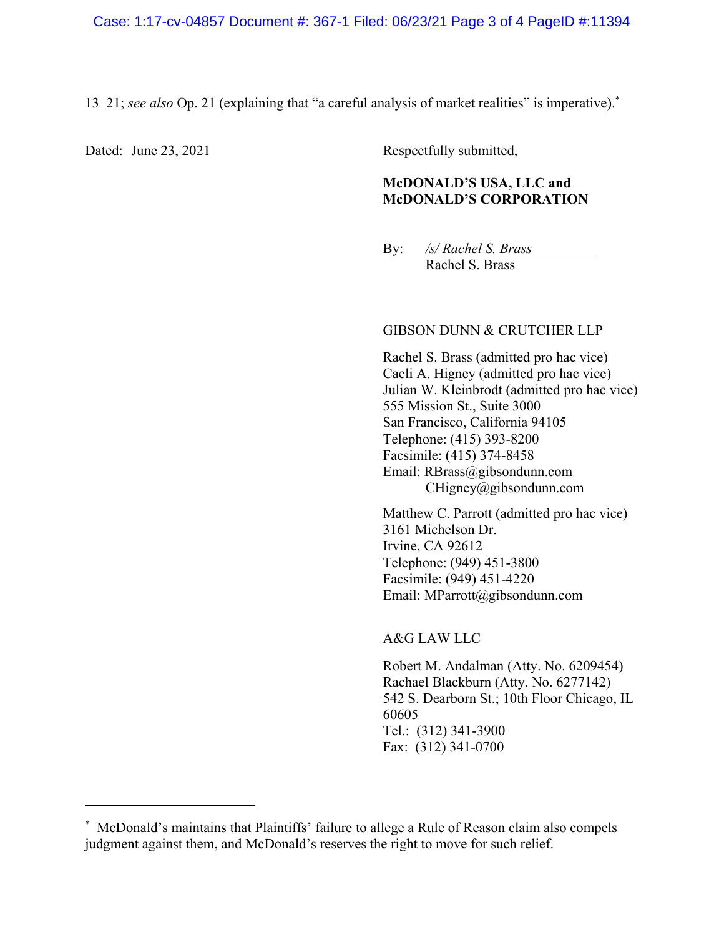13–21; *see also* Op. 21 (explaining that "a careful analysis of market realities" is imperative).\*

 $\overline{a}$ 

Dated: June 23, 2021 Respectfully submitted,

## **McDONALD'S USA, LLC and McDONALD'S CORPORATION**

By: */s/ Rachel S. Brass* Rachel S. Brass

#### GIBSON DUNN & CRUTCHER LLP

Rachel S. Brass (admitted pro hac vice) Caeli A. Higney (admitted pro hac vice) Julian W. Kleinbrodt (admitted pro hac vice) 555 Mission St., Suite 3000 San Francisco, California 94105 Telephone: (415) 393-8200 Facsimile: (415) 374-8458 Email: RBrass@gibsondunn.com CHigney@gibsondunn.com

Matthew C. Parrott (admitted pro hac vice) 3161 Michelson Dr. Irvine, CA 92612 Telephone: (949) 451-3800 Facsimile: (949) 451-4220 Email: MParrott@gibsondunn.com

#### A&G LAW LLC

Robert M. Andalman (Atty. No. 6209454) Rachael Blackburn (Atty. No. 6277142) 542 S. Dearborn St.; 10th Floor Chicago, IL 60605 Tel.: (312) 341-3900 Fax: (312) 341-0700

<sup>\*</sup> McDonald's maintains that Plaintiffs' failure to allege a Rule of Reason claim also compels judgment against them, and McDonald's reserves the right to move for such relief.